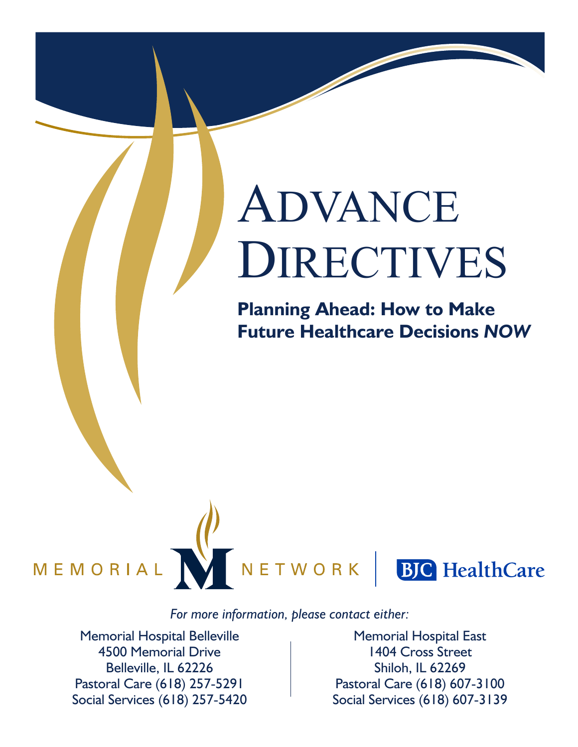# ADVANCE DIRECTIVES

**Planning Ahead: How to Make Future Healthcare Decisions** *NOW*



NETWORK



#### *For more information, please contact either:*

Memorial Hospital Belleville 4500 Memorial Drive Belleville, IL 62226 Pastoral Care (618) 257-5291 Social Services (618) 257-5420

Memorial Hospital East 1404 Cross Street Shiloh, IL 62269 Pastoral Care (618) 607-3100 Social Services (618) 607-3139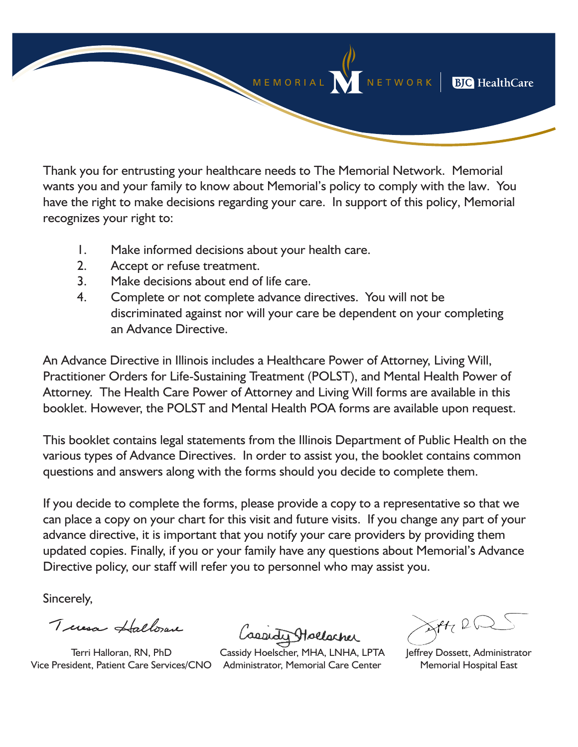MEMORIAL NETWORK | **BJC** HealthCare

Thank you for entrusting your healthcare needs to The Memorial Network. Memorial wants you and your family to know about Memorial's policy to comply with the law. You have the right to make decisions regarding your care. In support of this policy, Memorial recognizes your right to:

- 1. Make informed decisions about your health care.
- 2. Accept or refuse treatment.
- 3. Make decisions about end of life care.
- 4. Complete or not complete advance directives. You will not be discriminated against nor will your care be dependent on your completing an Advance Directive.

An Advance Directive in Illinois includes a Healthcare Power of Attorney, Living Will, Practitioner Orders for Life-Sustaining Treatment (POLST), and Mental Health Power of Attorney. The Health Care Power of Attorney and Living Will forms are available in this booklet. However, the POLST and Mental Health POA forms are available upon request.

This booklet contains legal statements from the Illinois Department of Public Health on the various types of Advance Directives. In order to assist you, the booklet contains common questions and answers along with the forms should you decide to complete them.

If you decide to complete the forms, please provide a copy to a representative so that we can place a copy on your chart for this visit and future visits. If you change any part of your advance directive, it is important that you notify your care providers by providing them updated copies. Finally, if you or your family have any questions about Memorial's Advance Directive policy, our staff will refer you to personnel who may assist you.

Sincerely,

Tuesd Hallow

Terri Halloran, RN, PhD Vice President, Patient Care Services/CNO Administrator, Memorial Care Center

Laeredi Hollscher

Cassidy Hoelscher, MHA, LNHA, LPTA

 $XH2Q$ 

Jeffrey Dossett, Administrator Memorial Hospital East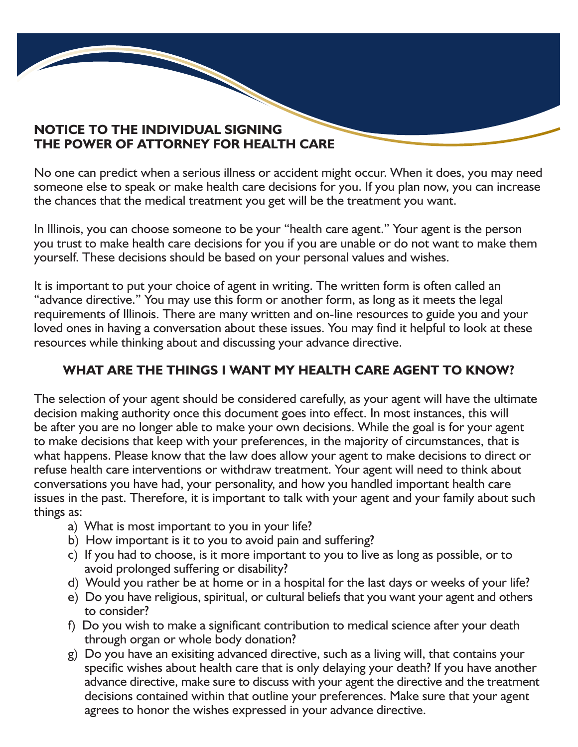#### **NOTICE TO THE INDIVIDUAL SIGNING THE POWER OF ATTORNEY FOR HEALTH CARE**

No one can predict when a serious illness or accident might occur. When it does, you may need someone else to speak or make health care decisions for you. If you plan now, you can increase the chances that the medical treatment you get will be the treatment you want.

In Illinois, you can choose someone to be your "health care agent." Your agent is the person you trust to make health care decisions for you if you are unable or do not want to make them yourself. These decisions should be based on your personal values and wishes.

It is important to put your choice of agent in writing. The written form is often called an "advance directive." You may use this form or another form, as long as it meets the legal requirements of Illinois. There are many written and on-line resources to guide you and your loved ones in having a conversation about these issues. You may find it helpful to look at these resources while thinking about and discussing your advance directive.

#### **WHAT ARE THE THINGS I WANT MY HEALTH CARE AGENT TO KNOW?**

The selection of your agent should be considered carefully, as your agent will have the ultimate decision making authority once this document goes into effect. In most instances, this will be after you are no longer able to make your own decisions. While the goal is for your agent to make decisions that keep with your preferences, in the majority of circumstances, that is what happens. Please know that the law does allow your agent to make decisions to direct or refuse health care interventions or withdraw treatment. Your agent will need to think about conversations you have had, your personality, and how you handled important health care issues in the past. Therefore, it is important to talk with your agent and your family about such things as:

- a) What is most important to you in your life?
- b) How important is it to you to avoid pain and suffering?
- c) If you had to choose, is it more important to you to live as long as possible, or to avoid prolonged suffering or disability?
- d) Would you rather be at home or in a hospital for the last days or weeks of your life?
- e) Do you have religious, spiritual, or cultural beliefs that you want your agent and others to consider?
- f) Do you wish to make a significant contribution to medical science after your death through organ or whole body donation?
- g) Do you have an exisiting advanced directive, such as a living will, that contains your specific wishes about health care that is only delaying your death? If you have another advance directive, make sure to discuss with your agent the directive and the treatment decisions contained within that outline your preferences. Make sure that your agent agrees to honor the wishes expressed in your advance directive.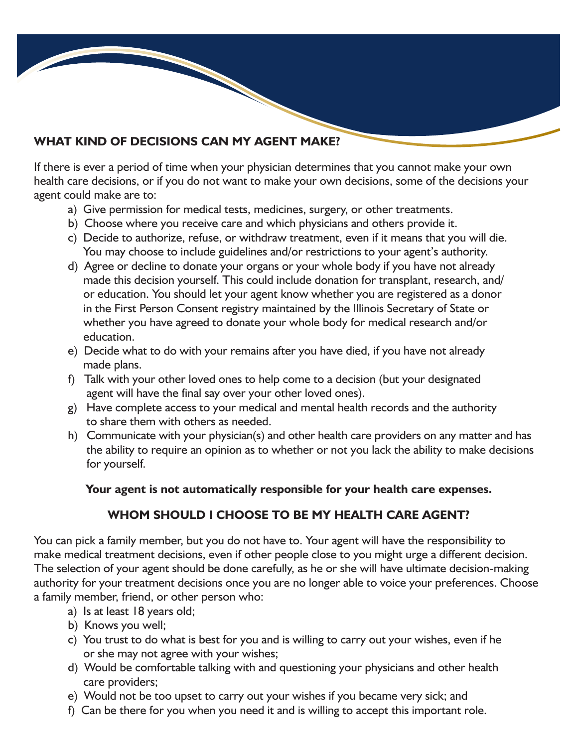#### **WHAT KIND OF DECISIONS CAN MY AGENT MAKE?**

If there is ever a period of time when your physician determines that you cannot make your own health care decisions, or if you do not want to make your own decisions, some of the decisions your agent could make are to:

- a) Give permission for medical tests, medicines, surgery, or other treatments.
- b) Choose where you receive care and which physicians and others provide it.
- c) Decide to authorize, refuse, or withdraw treatment, even if it means that you will die. You may choose to include guidelines and/or restrictions to your agent's authority.
- d) Agree or decline to donate your organs or your whole body if you have not already made this decision yourself. This could include donation for transplant, research, and/ or education. You should let your agent know whether you are registered as a donor in the First Person Consent registry maintained by the Illinois Secretary of State or whether you have agreed to donate your whole body for medical research and/or education.
- e) Decide what to do with your remains after you have died, if you have not already made plans.
- f) Talk with your other loved ones to help come to a decision (but your designated agent will have the final say over your other loved ones).
- g) Have complete access to your medical and mental health records and the authority to share them with others as needed.
- h) Communicate with your physician(s) and other health care providers on any matter and has the ability to require an opinion as to whether or not you lack the ability to make decisions for yourself.

#### **Your agent is not automatically responsible for your health care expenses.**

#### **WHOM SHOULD I CHOOSE TO BE MY HEALTH CARE AGENT?**

You can pick a family member, but you do not have to. Your agent will have the responsibility to make medical treatment decisions, even if other people close to you might urge a different decision. The selection of your agent should be done carefully, as he or she will have ultimate decision-making authority for your treatment decisions once you are no longer able to voice your preferences. Choose a family member, friend, or other person who:

- a) Is at least 18 years old;
- b) Knows you well;
- c) You trust to do what is best for you and is willing to carry out your wishes, even if he or she may not agree with your wishes;
- d) Would be comfortable talking with and questioning your physicians and other health care providers;
- e) Would not be too upset to carry out your wishes if you became very sick; and
- f) Can be there for you when you need it and is willing to accept this important role.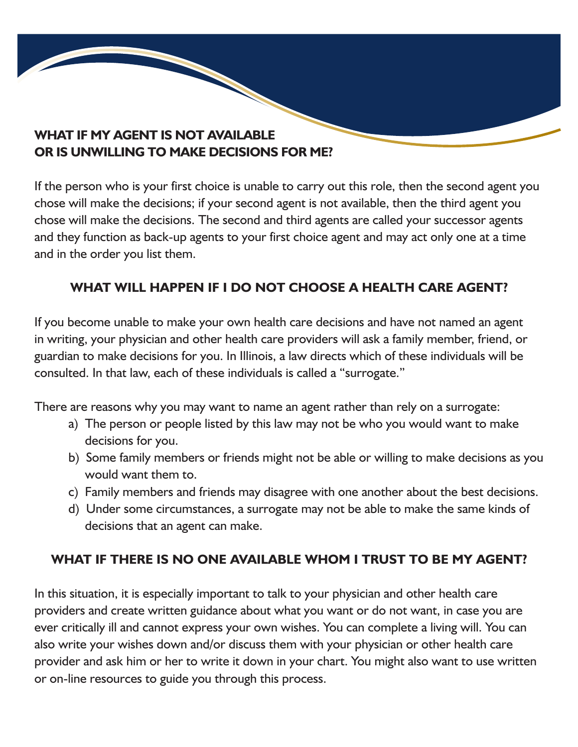#### **WHAT IF MY AGENT IS NOT AVAILABLE OR IS UNWILLING TO MAKE DECISIONS FOR ME?**

If the person who is your first choice is unable to carry out this role, then the second agent you chose will make the decisions; if your second agent is not available, then the third agent you chose will make the decisions. The second and third agents are called your successor agents and they function as back-up agents to your first choice agent and may act only one at a time and in the order you list them.

#### **WHAT WILL HAPPEN IF I DO NOT CHOOSE A HEALTH CARE AGENT?**

If you become unable to make your own health care decisions and have not named an agent in writing, your physician and other health care providers will ask a family member, friend, or guardian to make decisions for you. In Illinois, a law directs which of these individuals will be consulted. In that law, each of these individuals is called a "surrogate."

There are reasons why you may want to name an agent rather than rely on a surrogate:

- a) The person or people listed by this law may not be who you would want to make decisions for you.
- b) Some family members or friends might not be able or willing to make decisions as you would want them to.
- c) Family members and friends may disagree with one another about the best decisions.
- d) Under some circumstances, a surrogate may not be able to make the same kinds of decisions that an agent can make.

#### **WHAT IF THERE IS NO ONE AVAILABLE WHOM I TRUST TO BE MY AGENT?**

In this situation, it is especially important to talk to your physician and other health care providers and create written guidance about what you want or do not want, in case you are ever critically ill and cannot express your own wishes. You can complete a living will. You can also write your wishes down and/or discuss them with your physician or other health care provider and ask him or her to write it down in your chart. You might also want to use written or on-line resources to guide you through this process.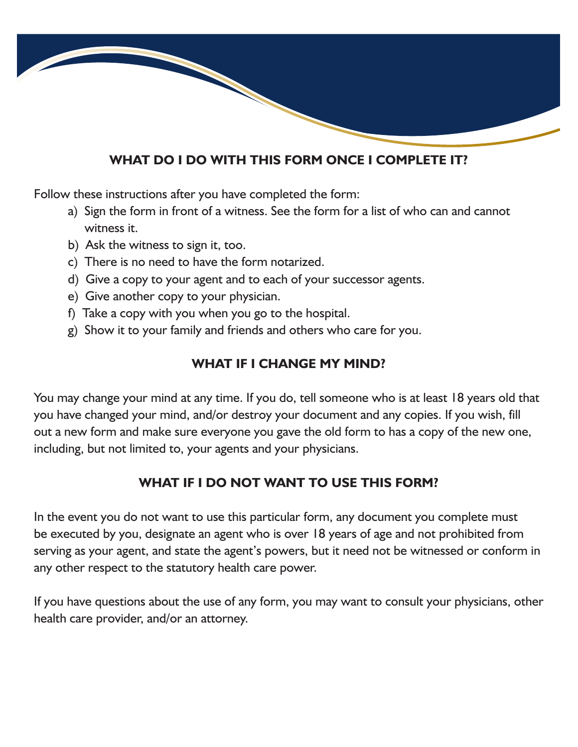#### **WHAT DO I DO WITH THIS FORM ONCE I COMPLETE IT?**

Follow these instructions after you have completed the form:

- a) Sign the form in front of a witness. See the form for a list of who can and cannot witness it.
- b) Ask the witness to sign it, too.
- c) There is no need to have the form notarized.
- d) Give a copy to your agent and to each of your successor agents.
- e) Give another copy to your physician.
- f) Take a copy with you when you go to the hospital.
- g) Show it to your family and friends and others who care for you.

#### **WHAT IF I CHANGE MY MIND?**

You may change your mind at any time. If you do, tell someone who is at least 18 years old that you have changed your mind, and/or destroy your document and any copies. If you wish, fill out a new form and make sure everyone you gave the old form to has a copy of the new one, including, but not limited to, your agents and your physicians.

#### **WHAT IF I DO NOT WANT TO USE THIS FORM?**

In the event you do not want to use this particular form, any document you complete must be executed by you, designate an agent who is over 18 years of age and not prohibited from serving as your agent, and state the agent's powers, but it need not be witnessed or conform in any other respect to the statutory health care power.

If you have questions about the use of any form, you may want to consult your physicians, other health care provider, and/or an attorney.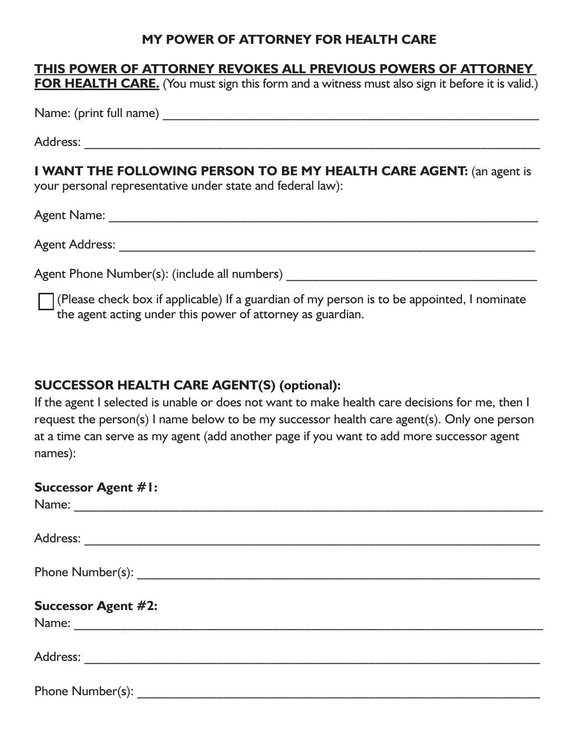#### **MY POWER OF ATTORNEY FOR HEALTH CARE**

#### **THIS POWER OF ATTORNEY REVOKES ALL PREVIOUS POWERS OF ATTORNEY**

**FOR HEALTH CARE.** (You must sign this form and a witness must also sign it before it is valid.)

Name: (print full name) \_\_\_\_\_\_\_\_\_\_\_\_\_\_\_\_\_\_\_\_\_\_\_\_\_\_\_\_\_\_\_\_\_\_\_\_\_\_\_\_\_\_\_\_\_\_\_\_\_\_\_\_\_\_\_\_\_

Address: \_\_\_\_\_\_\_\_\_\_\_\_\_\_\_\_\_\_\_\_\_\_\_\_\_\_\_\_\_\_\_\_\_\_\_\_\_\_\_\_\_\_\_\_\_\_\_\_\_\_\_\_\_\_\_\_\_\_\_\_\_\_\_\_\_\_\_\_\_

**I WANT THE FOLLOWING PERSON TO BE MY HEALTH CARE AGENT:** (an agent is

your personal representative under state and federal law):

Agent Name: \_\_\_\_\_\_\_\_\_\_\_\_\_\_\_\_\_\_\_\_\_\_\_\_\_\_\_\_\_\_\_\_\_\_\_\_\_\_\_\_\_\_\_\_\_\_\_\_\_\_\_\_\_\_\_\_\_\_\_\_\_\_\_\_\_

Agent Address: \_\_\_\_\_\_\_\_\_\_\_\_\_\_\_\_\_\_\_\_\_\_\_\_\_\_\_\_\_\_\_\_\_\_\_\_\_\_\_\_\_\_\_\_\_\_\_\_\_\_\_\_\_\_\_\_\_\_\_\_\_\_\_

Agent Phone Number(s): (include all numbers) \_\_\_\_\_\_\_\_\_\_\_\_\_\_\_\_\_\_\_\_\_\_\_\_\_\_\_\_\_\_\_\_\_\_\_\_\_\_

(Please check box if applicable) If a guardian of my person is to be appointed, I nominate the agent acting under this power of attorney as guardian.

#### **SUCCESSOR HEALTH CARE AGENT(S) (optional):**

If the agent I selected is unable or does not want to make health care decisions for me, then I request the person(s) I name below to be my successor health care agent(s). Only one person at a time can serve as my agent (add another page if you want to add more successor agent names):

| <b>Successor Agent #1:</b> |  |  |
|----------------------------|--|--|
|                            |  |  |
|                            |  |  |
|                            |  |  |
|                            |  |  |
|                            |  |  |
|                            |  |  |
| <b>Successor Agent #2:</b> |  |  |
|                            |  |  |
|                            |  |  |
|                            |  |  |
|                            |  |  |
| Phone Number(s):           |  |  |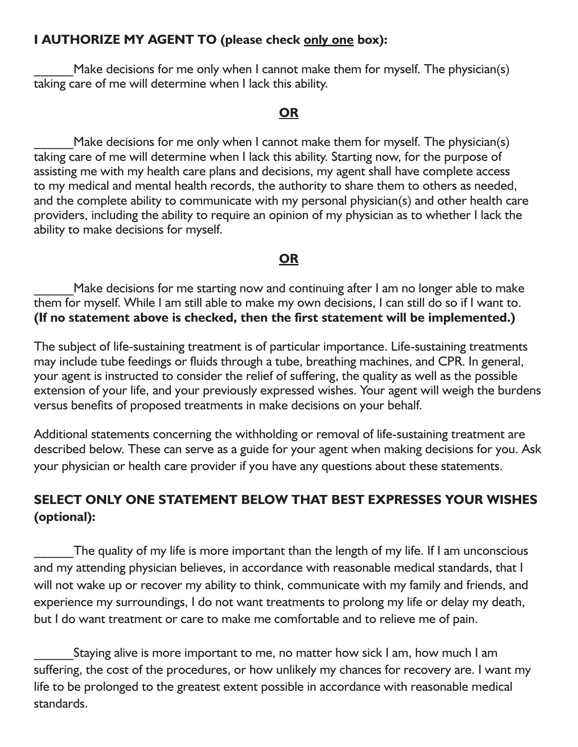#### **I AUTHORIZE MY AGENT TO (please check only one box):**

Make decisions for me only when I cannot make them for myself. The physician(s) taking care of me will determine when I lack this ability.

#### **OR**

Make decisions for me only when I cannot make them for myself. The physician(s) taking care of me will determine when I lack this ability. Starting now, for the purpose of assisting me with my health care plans and decisions, my agent shall have complete access to my medical and mental health records, the authority to share them to others as needed, and the complete ability to communicate with my personal physician(s) and other health care providers, including the ability to require an opinion of my physician as to whether I lack the ability to make decisions for myself.

#### **OR**

Make decisions for me starting now and continuing after I am no longer able to make them for myself. While I am still able to make my own decisions, I can still do so if I want to. **(If no statement above is checked, then the first statement will be implemented.)**

The subject of life-sustaining treatment is of particular importance. Life-sustaining treatments may include tube feedings or fluids through a tube, breathing machines, and CPR. In general, your agent is instructed to consider the relief of suffering, the quality as well as the possible extension of your life, and your previously expressed wishes. Your agent will weigh the burdens versus benefits of proposed treatments in make decisions on your behalf.

Additional statements concerning the withholding or removal of life-sustaining treatment are described below. These can serve as a guide for your agent when making decisions for you. Ask your physician or health care provider if you have any questions about these statements.

#### **SELECT ONLY ONE STATEMENT BELOW THAT BEST EXPRESSES YOUR WISHES (optional):**

The quality of my life is more important than the length of my life. If I am unconscious and my attending physician believes, in accordance with reasonable medical standards, that I will not wake up or recover my ability to think, communicate with my family and friends, and experience my surroundings, I do not want treatments to prolong my life or delay my death, but I do want treatment or care to make me comfortable and to relieve me of pain.

Staying alive is more important to me, no matter how sick I am, how much I am suffering, the cost of the procedures, or how unlikely my chances for recovery are. I want my life to be prolonged to the greatest extent possible in accordance with reasonable medical standards.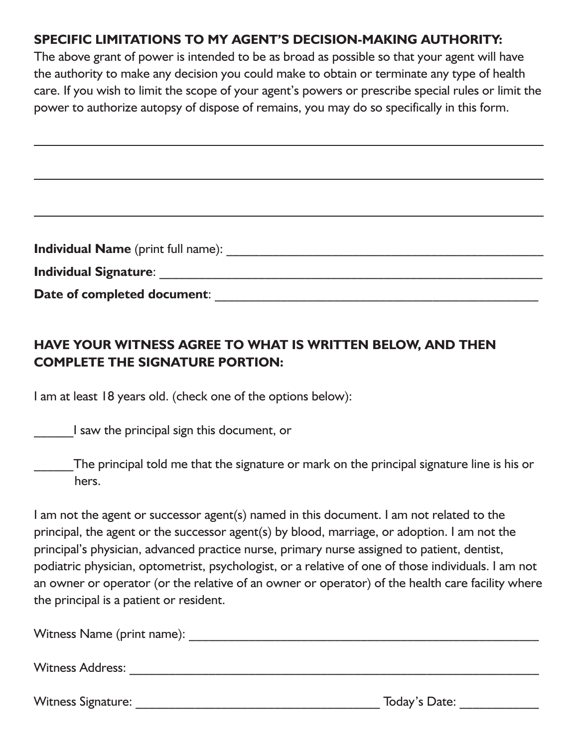#### **SPECIFIC LIMITATIONS TO MY AGENT'S DECISION-MAKING AUTHORITY:**

The above grant of power is intended to be as broad as possible so that your agent will have the authority to make any decision you could make to obtain or terminate any type of health care. If you wish to limit the scope of your agent's powers or prescribe special rules or limit the power to authorize autopsy of dispose of remains, you may do so specifically in this form.

| <b>Individual Name</b> (print full name): |  |
|-------------------------------------------|--|
| <b>Individual Signature:</b>              |  |
| Date of completed document:               |  |

#### **HAVE YOUR WITNESS AGREE TO WHAT IS WRITTEN BELOW, AND THEN COMPLETE THE SIGNATURE PORTION:**

I am at least 18 years old. (check one of the options below):

\_\_\_\_\_\_I saw the principal sign this document, or

The principal told me that the signature or mark on the principal signature line is his or hers.

I am not the agent or successor agent(s) named in this document. I am not related to the principal, the agent or the successor agent(s) by blood, marriage, or adoption. I am not the principal's physician, advanced practice nurse, primary nurse assigned to patient, dentist, podiatric physician, optometrist, psychologist, or a relative of one of those individuals. I am not an owner or operator (or the relative of an owner or operator) of the health care facility where the principal is a patient or resident.

Witness Name (print name): \_\_\_\_\_\_\_\_\_\_\_\_\_\_\_\_\_\_\_\_\_\_\_\_\_\_\_\_\_\_\_\_\_\_\_\_\_\_\_\_\_\_\_\_\_\_\_\_\_\_\_\_\_

Witness Address: \_\_\_\_\_\_\_\_\_\_\_\_\_\_\_\_\_\_\_\_\_\_\_\_\_\_\_\_\_\_\_\_\_\_\_\_\_\_\_\_\_\_\_\_\_\_\_\_\_\_\_\_\_\_\_\_\_\_\_\_\_\_

Witness Signature: Today's Date: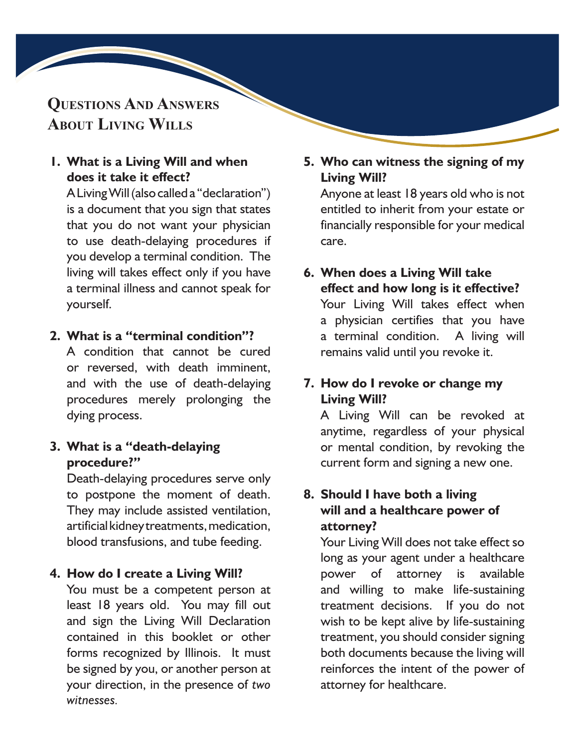#### **Questions And Answers About Living Wills**

#### **1. What is a Living Will and when does it take it effect?**

A Living Will (also called a "declaration") is a document that you sign that states that you do not want your physician to use death-delaying procedures if you develop a terminal condition. The living will takes effect only if you have a terminal illness and cannot speak for yourself.

#### **2. What is a "terminal condition"?**

A condition that cannot be cured or reversed, with death imminent, and with the use of death-delaying procedures merely prolonging the dying process.

#### **3. What is a "death-delaying procedure?"**

Death-delaying procedures serve only to postpone the moment of death. They may include assisted ventilation, artificial kidney treatments, medication, blood transfusions, and tube feeding.

#### **4. How do I create a Living Will?**

You must be a competent person at least 18 years old. You may fill out and sign the Living Will Declaration contained in this booklet or other forms recognized by Illinois. It must be signed by you, or another person at your direction, in the presence of *two witnesses.*

#### **5. Who can witness the signing of my Living Will?**

Anyone at least 18 years old who is not entitled to inherit from your estate or financially responsible for your medical care.

#### **6. When does a Living Will take effect and how long is it effective?** Your Living Will takes effect when a physician certifies that you have a terminal condition. A living will remains valid until you revoke it.

#### **7. How do I revoke or change my Living Will?**

A Living Will can be revoked at anytime, regardless of your physical or mental condition, by revoking the current form and signing a new one.

#### **8. Should I have both a living will and a healthcare power of attorney?**

Your Living Will does not take effect so long as your agent under a healthcare power of attorney is available and willing to make life-sustaining treatment decisions. If you do not wish to be kept alive by life-sustaining treatment, you should consider signing both documents because the living will reinforces the intent of the power of attorney for healthcare.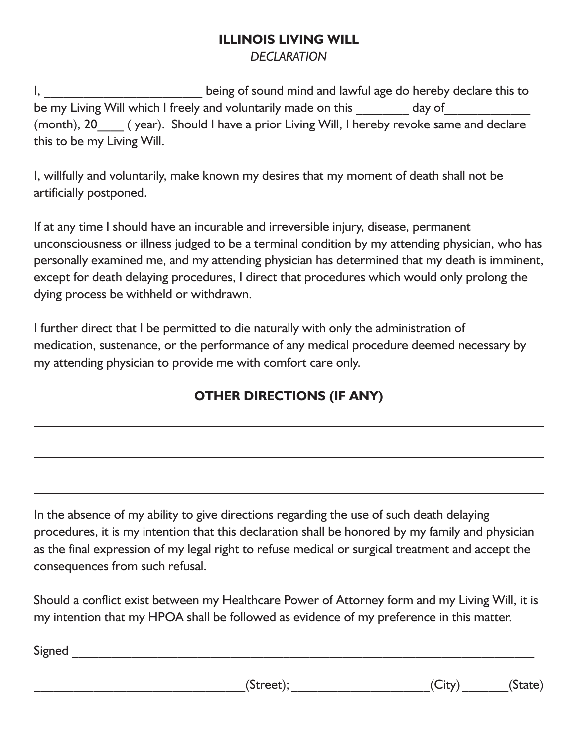### **ILLINOIS LIVING WILL**

#### *DECLARATION*

I, \_\_\_\_\_\_\_\_\_\_\_\_\_\_\_\_\_\_\_\_\_\_\_\_\_\_\_\_\_being of sound mind and lawful age do hereby declare this to be my Living Will which I freely and voluntarily made on this \_\_\_\_\_\_\_\_ day of\_\_\_\_\_\_\_\_\_ (month), 20  $\qquad$  ( year). Should I have a prior Living Will, I hereby revoke same and declare this to be my Living Will.

I, willfully and voluntarily, make known my desires that my moment of death shall not be artificially postponed.

If at any time I should have an incurable and irreversible injury, disease, permanent unconsciousness or illness judged to be a terminal condition by my attending physician, who has personally examined me, and my attending physician has determined that my death is imminent, except for death delaying procedures, I direct that procedures which would only prolong the dying process be withheld or withdrawn.

I further direct that I be permitted to die naturally with only the administration of medication, sustenance, or the performance of any medical procedure deemed necessary by my attending physician to provide me with comfort care only.

#### **OTHER DIRECTIONS (IF ANY)**

In the absence of my ability to give directions regarding the use of such death delaying procedures, it is my intention that this declaration shall be honored by my family and physician as the final expression of my legal right to refuse medical or surgical treatment and accept the consequences from such refusal.

Should a conflict exist between my Healthcare Power of Attorney form and my Living Will, it is my intention that my HPOA shall be followed as evidence of my preference in this matter.

 ${\sf Signal}$ 

 $(Street);$   $(City)$   $(State)$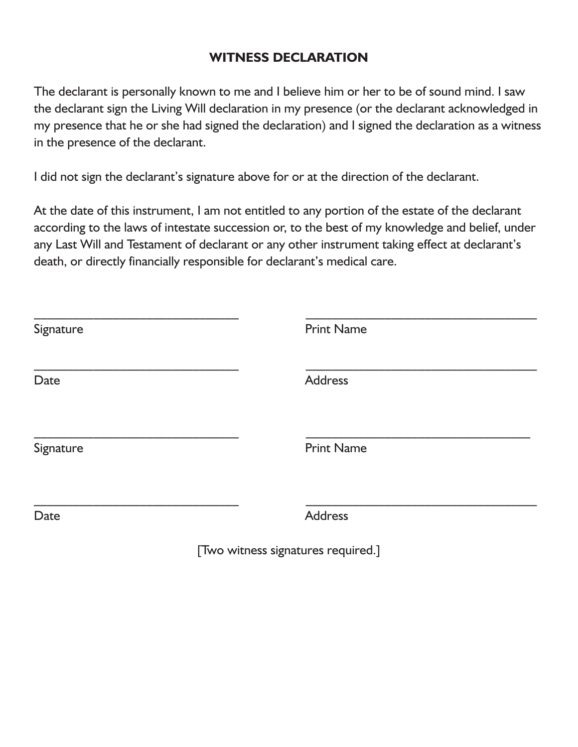#### **WITNESS DECLARATION**

The declarant is personally known to me and I believe him or her to be of sound mind. I saw the declarant sign the Living Will declaration in my presence (or the declarant acknowledged in my presence that he or she had signed the declaration) and I signed the declaration as a witness in the presence of the declarant.

I did not sign the declarant's signature above for or at the direction of the declarant.

At the date of this instrument, I am not entitled to any portion of the estate of the declarant according to the laws of intestate succession or, to the best of my knowledge and belief, under any Last Will and Testament of declarant or any other instrument taking effect at declarant's death, or directly financially responsible for declarant's medical care.

| Signature | <b>Print Name</b> |
|-----------|-------------------|
| Date      | <b>Address</b>    |
| Signature | <b>Print Name</b> |
| Date      | <b>Address</b>    |

[Two witness signatures required.]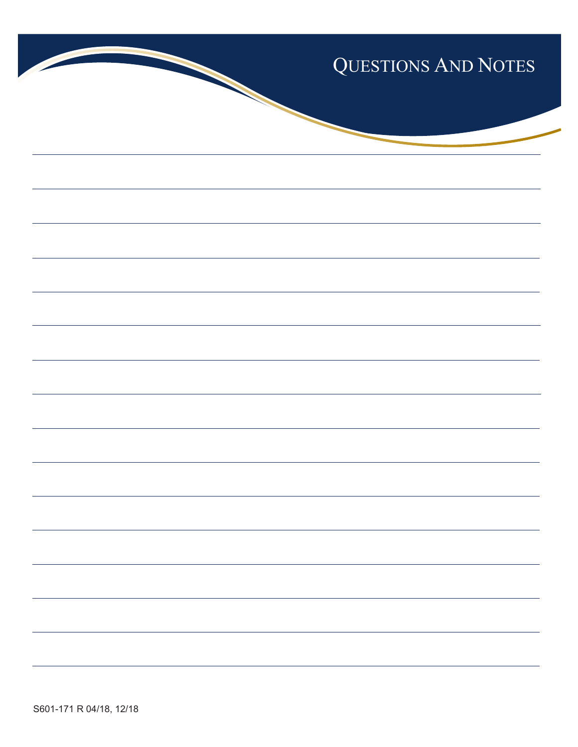

S601-171 R 04/18, 12/18